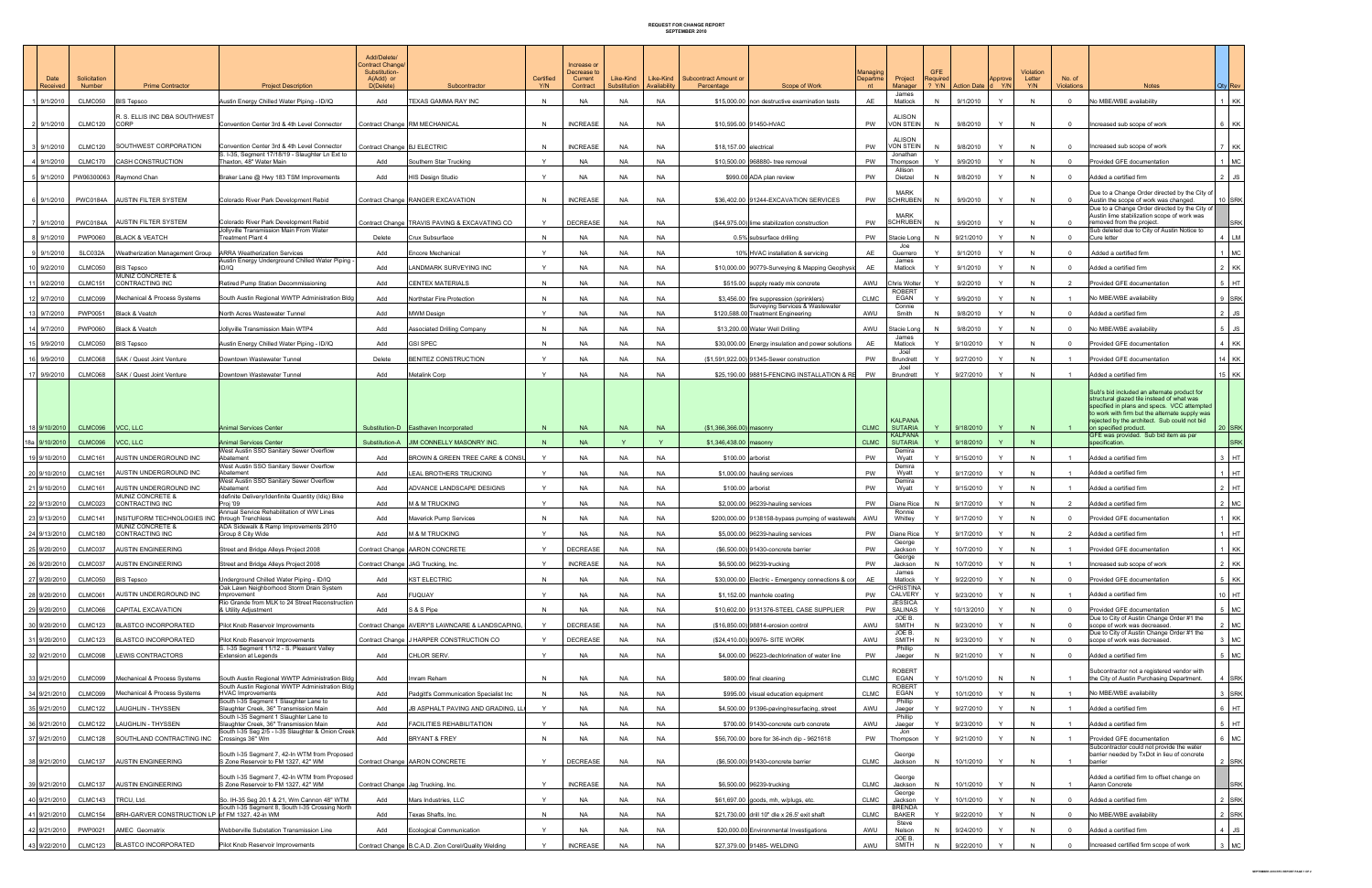## REQUEST FOR CHANGE REPORT SEPTEMBER 2010

|                              |                        |                                                                          |                                                                                                | Add/Delete/<br>Contract Change/<br>Substitution- |                                                            |                  | Increase or<br>Decrease to |                           |                           |                                                                                       | Managing       |                                   | <b>GFE</b>   |                         |              | Violation     |                             |                                                                                                                                                                                                                                           |
|------------------------------|------------------------|--------------------------------------------------------------------------|------------------------------------------------------------------------------------------------|--------------------------------------------------|------------------------------------------------------------|------------------|----------------------------|---------------------------|---------------------------|---------------------------------------------------------------------------------------|----------------|-----------------------------------|--------------|-------------------------|--------------|---------------|-----------------------------|-------------------------------------------------------------------------------------------------------------------------------------------------------------------------------------------------------------------------------------------|
| Date<br>Received             | Solicitation<br>Number | <b>Prime Contractor</b>                                                  | <b>Project Description</b>                                                                     | A(Add) or<br>D(Delete)                           | Subcontractor                                              | Certified<br>Y/N | Current<br>Contract        | Like-Kind<br>Substitution | Like-Kind<br>Availability | <b>Subcontract Amount or</b><br>Percentage<br>Scope of Work                           | Departme<br>nt | Project<br>Manager                | Required     | ? Y/N Action Date d Y/N | Approve      | Letter<br>Y/N | No. of<br><b>Violations</b> | <b>Notes</b><br>Qty Rev                                                                                                                                                                                                                   |
| 9/1/2010                     | CLMC050                | <b>BIS Tepsco</b>                                                        | Austin Energy Chilled Water Piping - ID/IQ                                                     | Add                                              | TEXAS GAMMA RAY INC                                        | $\mathsf{N}$     | <b>NA</b>                  | <b>NA</b>                 | <b>NA</b>                 | \$15,000.00 non destructive examination tests                                         | AE             | James<br>Matlock                  | N            | 9/1/2010                |              |               |                             | No MBE/WBE availability<br>1 KK                                                                                                                                                                                                           |
| 2 9/1/2010                   | CLMC120                | <b>R. S. ELLIS INC DBA SOUTHWEST</b><br><b>CORP</b>                      | Convention Center 3rd & 4th Level Connector                                                    |                                                  | Contract Change RM MECHANICAL                              | N                | <b>INCREASE</b>            | <b>NA</b>                 | <b>NA</b>                 | \$10,595.00 91450-HVAC                                                                | PW             | <b>ALISON</b><br><b>VON STEIN</b> | N            | 9/8/2010                | $\mathsf{Y}$ |               | $\Omega$                    | 6 KK<br>Increased sub scope of work                                                                                                                                                                                                       |
|                              |                        |                                                                          |                                                                                                |                                                  |                                                            |                  |                            |                           |                           |                                                                                       |                | <b>ALISON</b>                     |              |                         |              |               |                             |                                                                                                                                                                                                                                           |
| 3 9/1/2010                   | CLMC120                | SOUTHWEST CORPORATION                                                    | Convention Center 3rd & 4th Level Connector<br>S. I-35, Segment 17/18/19 - Slaughter Ln Ext to | Contract Change BJ ELECTRIC                      |                                                            | $\mathsf{N}$     | <b>INCREASE</b>            | <b>NA</b>                 | <b>NA</b>                 | \$18,157,00 electrical                                                                | PW             | VON STEIN<br>Jonathan             | N            | 9/8/2010                | Y            | $\mathsf{N}$  | $\overline{0}$              | 7 KK<br>Increased sub scope of work                                                                                                                                                                                                       |
| 4 9/1/2010                   | CLMC170                | <b>CASH CONSTRUCTION</b>                                                 | Thaxton, 48" Water Main                                                                        | Add                                              | Southern Star Trucking                                     |                  | <b>NA</b>                  | NA                        | <b>NA</b>                 | \$10,500,00 968880- tree removal                                                      | PW             | Thompson<br>Allison               |              | 9/9/2010                | $\mathsf{v}$ |               | $\Omega$                    | Provided GFE documentation<br>$1$ MC                                                                                                                                                                                                      |
| 5 9/1/2010                   | PW06300063             | Ravmond Chan                                                             | Braker Lane @ Hwy 183 TSM Improvements                                                         | Add                                              | <b>HIS Design Studio</b>                                   | $\mathsf{v}$     | <b>NA</b>                  | <b>NA</b>                 | <b>NA</b>                 | \$990.00 ADA plan review                                                              | PW             | Dietzel<br><b>MARK</b>            | N            | 9/8/2010                |              | $\mathsf{N}$  | $\Omega$                    | Added a certified firm<br>$2$ JS<br>Due to a Change Order directed by the City of                                                                                                                                                         |
| 6 9/1/2010                   |                        | PWC0184A AUSTIN FILTER SYSTEM                                            | Colorado River Park Development Rebid                                                          |                                                  | Contract Change RANGER EXCAVATION                          | N                | <b>INCREASE</b>            | <b>NA</b>                 | <b>NA</b>                 | \$36,402.00 91244-EXCAVATION SERVICES                                                 | PW             | <b>SCHRUBEN</b>                   | N            | 9/9/2010                | Y            | $\mathsf{N}$  | $\overline{0}$              | Austin the scope of work was changed.<br>10 SRK<br>Due to a Change Order directed by the City of                                                                                                                                          |
| 7 9/1/2010                   | <b>PWC0184A</b>        | <b>AUSTIN FILTER SYSTEM</b>                                              | Colorado River Park Development Rebid                                                          |                                                  | Contract Change TRAVIS PAVING & EXCAVATING CO              |                  | <b>DECREASE</b>            | <b>NA</b>                 | <b>NA</b>                 | (\$44,975.00) lime stabilization construction                                         | <b>PW</b>      | <b>MARK</b><br><b>SCHRUBEN</b>    | N            | 9/9/2010                | Y            | $\mathsf{N}$  | $\Omega$                    | Austin lime stabilization scope of work was<br><b>SRK</b><br>removed from the project.                                                                                                                                                    |
| 8 9/1/2010                   | PWP0060                | <b>BLACK &amp; VEATCH</b>                                                | Jollyville Transmission Main From Water<br>Treatment Plant 4                                   | Delete                                           | Crux Subsurface                                            |                  | <b>NA</b>                  | <b>NA</b>                 | <b>NA</b>                 | 0.5% subsurface drilling                                                              | <b>PW</b>      | Stacie Long                       | N            | 9/21/2010               |              |               | $\cap$                      | Sub deleted due to City of Austin Notice to<br>Cure letter<br>$4$ LM                                                                                                                                                                      |
| 9 9/1/2010                   | SLC032A                | Weatherization Management Group ARRA Weatherization Services             |                                                                                                | Add                                              | Encore Mechanical                                          | $\mathsf{Y}$     | <b>NA</b>                  | NA                        | <b>NA</b>                 | 10% HVAC installation & servicing                                                     | AE             | Joe<br>Guerrero                   | Y            | 9/1/2010                | Y            | $\mathsf{N}$  | $\Omega$                    | Added a certified firm<br>$1$ MC                                                                                                                                                                                                          |
| 10 9/2/2010                  | CLMC050                | <b>BIS Tepsco</b>                                                        | Austin Energy Underground Chilled Water Piping<br>ID/IQ                                        | Add                                              | ANDMARK SURVEYING INC                                      | $\mathbf{v}$     | <b>NA</b>                  | NA                        | <b>NA</b>                 | \$10,000.00 90779-Surveying & Mapping Geophysi                                        | AE             | James<br>Matlock                  |              | 9/1/2010                |              |               | $\Omega$                    | Added a certified firm<br>$2$ KK                                                                                                                                                                                                          |
| 11 9/2/2010                  | CLMC151                | MUNIZ CONCRETE &<br><b>CONTRACTING INC</b>                               | Retired Pump Station Decommissioning                                                           | Add                                              | <b>CENTEX MATERIALS</b>                                    | $\mathsf{N}$     | <b>NA</b>                  | NA                        | <b>NA</b>                 | \$515.00 supply ready mix concrete                                                    | AWU            | Chris Wolte                       |              | 9/2/2010                |              |               | $\overline{2}$              | Provided GFE documentation<br>$5$ $HT$                                                                                                                                                                                                    |
| 12 9/7/2010                  | CLMC099                | Mechanical & Process Systems                                             | South Austin Regional WWTP Administration Bldg                                                 | Add                                              | Northstar Fire Protection                                  |                  | <b>NA</b>                  | NA                        | <b>NA</b>                 | \$3,456.00 fire suppression (sprinklers)                                              | <b>CLMC</b>    | <b>ROBERT</b><br>EGAN             |              | 9/9/2010                |              |               |                             | 9 SRK<br>No MBE/WBE availability                                                                                                                                                                                                          |
| 13 9/7/2010                  | PWP0051                | Black & Veatch                                                           | North Acres Wastewater Tunnel                                                                  | Add                                              | <b>MWM Design</b>                                          |                  | <b>NA</b>                  | NA                        | <b>NA</b>                 | Surveying Services & Wastewater<br>\$120,588.00 Treatment Engineering                 | AWU            | Connie<br>Smith                   | N            | 9/8/2010                |              | N             | $\Omega$                    | Added a certified firm<br>$2 \mid JS$                                                                                                                                                                                                     |
| 14 9/7/2010                  | PWP0060                | <b>Black &amp; Veatch</b>                                                | Jollyville Transmission Main WTP4                                                              | Add                                              | <b>Associated Drilling Company</b>                         | $\mathsf{N}$     | NA                         | NA                        | <b>NA</b>                 | \$13,200.00 Water Well Drilling                                                       | AWU            | Stacie Long<br>James              | N            | 9/8/2010                |              |               | $\Omega$                    | No MBE/WBE availability<br>$5 \mid JS$                                                                                                                                                                                                    |
| 15 9/9/2010                  | CLMC050                | <b>BIS Tepsco</b>                                                        | Austin Energy Chilled Water Piping - ID/IQ                                                     | Add                                              | <b>GSI SPEC</b>                                            |                  | <b>NA</b>                  | NA                        | <b>NA</b>                 | \$30,000.00 Energy insulation and power solutions                                     | AE             | Matlock<br>Joel                   | $\checkmark$ | 9/10/2010               |              |               | $\Omega$                    | Provided GFE documentation<br>4 KK                                                                                                                                                                                                        |
| 16 9/9/2010                  | CLMC068                | SAK / Quest Joint Venture                                                | Downtown Wastewater Tunnel                                                                     | Delete                                           | BENITEZ CONSTRUCTION                                       |                  | <b>NA</b>                  | <b>NA</b>                 | <b>NA</b>                 | (\$1,591,922.00) 91345-Sewer construction                                             | PW             | Brundrett<br>Joel                 | $\checkmark$ | 9/27/2010               | $\mathsf{v}$ |               |                             | Provided GFE documentation<br>$14$ KK                                                                                                                                                                                                     |
| 17 9/9/2010                  | CLMC068                | SAK / Quest Joint Venture                                                | Downtown Wastewater Tunnel                                                                     | Add                                              | Metalink Corp                                              | Y.               | <b>NA</b>                  | <b>NA</b>                 | <b>NA</b>                 | \$25,190.00 98815-FENCING INSTALLATION & RE                                           | PW             | Brundrett                         | $\checkmark$ | 9/27/2010               | $\mathsf{v}$ | $\mathsf{N}$  | $\overline{1}$              | Added a certified firm<br>15 KK                                                                                                                                                                                                           |
|                              |                        |                                                                          |                                                                                                |                                                  |                                                            |                  |                            |                           |                           |                                                                                       |                | <b>KALPANA</b>                    |              |                         |              |               |                             | Sub's bid included an alternate product for<br>structural glazed tile instead of what was<br>specified in plans and specs. VCC attempted<br>to work with firm but the alternate supply was<br>ejected by the architect. Sub could not bid |
| 18 9/10/2010                 | CLMC096 VCC. LLC       |                                                                          | <b>Animal Services Center</b>                                                                  |                                                  | Substitution-D   Easthaven Incorporated                    | N                | <b>NA</b>                  | <b>NA</b>                 | <b>NA</b>                 | $(S1, 366, 366.00)$ masonry                                                           | <b>CLMC</b>    | <b>SUTARIA</b><br><b>KALPANA</b>  | Y.           | 9/18/2010               | Y            | N             |                             | 20 SRK<br>on specified product.<br>GFE was provided. Sub bid item as per                                                                                                                                                                  |
| 18a 9/10/2010                | CLMC096                | VCC, LLC                                                                 | Animal Services Center<br>West Austin SSO Sanitary Sewer Overflow                              | Substitution-A                                   | JIM CONNELLY MASONRY INC.                                  |                  | <b>NA</b>                  |                           | Y                         | \$1,346,438.00 masonry                                                                | <b>CLMC</b>    | <b>SUTARIA</b><br>Demira          |              | 9/18/2010               |              |               |                             | specification.<br><b>SRK</b>                                                                                                                                                                                                              |
| 19 9/10/2010                 | CLMC161                | AUSTIN UNDERGROUND INC                                                   | Abatement<br>West Austin SSO Sanitary Sewer Overflow                                           | Add                                              | BROWN & GREEN TREE CARE & CONSU                            |                  | <b>NA</b>                  | <b>NA</b>                 | <b>NA</b>                 | \$100.00 arborist                                                                     | PW             | Wyatt<br>Demira                   | Y            | 9/15/2010               |              |               |                             | Added a certified firm<br>$3$ $HT$                                                                                                                                                                                                        |
| 20 9/10/2010                 | CLMC161                | AUSTIN UNDERGROUND INC                                                   | Abatement<br>West Austin SSO Sanitary Sewer Overflow                                           | Add                                              | <b>EAL BROTHERS TRUCKING</b>                               |                  | <b>NA</b>                  | <b>NA</b>                 | <b>NA</b>                 | \$1,000.00 hauling services                                                           | PW             | Wyatt<br>Demira                   |              | 9/17/2010               |              |               |                             | $1$ HT<br>Added a certified firm                                                                                                                                                                                                          |
| 21 9/10/2010                 | CLMC161                | AUSTIN UNDERGROUND INC<br><b>MUNIZ CONCRETE &amp;</b>                    | Abatement<br>Idefinite Delivery/Idenfinite Quantity (Idiq) Bike                                | Add                                              | ADVANCE LANDSCAPE DESIGNS                                  | $\mathsf{Y}$     | <b>NA</b>                  | NA                        | <b>NA</b>                 | \$100.00 arborist                                                                     | PW             | Wyatt                             | $\checkmark$ | 9/15/2010               |              |               | $\overline{2}$              | Added a certified firm<br>$2$ HT                                                                                                                                                                                                          |
| 22 9/13/2010<br>23 9/13/2010 | CLMC023<br>CLMC141     | <b>CONTRACTING INC</b><br>INSITUFORM TECHNOLOGIES INC through Trenchless | Proj '09<br>Annual Service Rehabilitation of WW Lines                                          | Add<br>Add                                       | <b>M &amp; M TRUCKING</b><br>Maverick Pump Services        | $\mathsf{N}$     | <b>NA</b><br><b>NA</b>     | NA<br>NA                  | <b>NA</b><br><b>NA</b>    | \$2,000.00 96239-hauling services<br>\$200,000.00 9138158-bypass pumping of wastewate | PW<br>AWU      | Diane Rice<br>Ronnie<br>Whitley   | N            | 9/17/2010<br>9/17/2010  |              |               | $\Omega$                    | Added a certified firm<br>2 MC<br>Provided GFE documentation<br>$1$ KK                                                                                                                                                                    |
| 24 9/13/2010                 | CLMC180                | MUNIZ CONCRETE &<br><b>CONTRACTING INC</b>                               | ADA Sidewalk & Ramp Improvements 2010<br>Group 8 City Wide                                     | Add                                              | <b>M &amp; M TRUCKING</b>                                  | $\mathsf{Y}$     | <b>NA</b>                  | <b>NA</b>                 | <b>NA</b>                 | \$5,000.00 96239-hauling services                                                     | PW             | Diane Rice                        | Y            | 9/17/2010               | Y            | $\mathsf{N}$  | $\overline{2}$              | $1$ HT<br>Added a certified firm                                                                                                                                                                                                          |
| 25 9/20/2010                 | CLMC037                | <b>AUSTIN ENGINEERING</b>                                                | Street and Bridge Alleys Project 2008                                                          |                                                  | Contract Change AARON CONCRETE                             | $\mathsf{Y}$     | <b>DECREASE</b>            | <b>NA</b>                 | <b>NA</b>                 | (\$6,500.00) 91430-concrete barrier                                                   | PW             | George<br>Jackson                 | Y            | 10/7/2010               | Y            | $\mathsf{N}$  |                             | Provided GFE documentation<br>$1$ KK                                                                                                                                                                                                      |
| 26 9/20/2010                 | CLMC037                | <b>AUSTIN ENGINEERING</b>                                                | Street and Bridge Alleys Project 2008                                                          |                                                  | Contract Change JAG Trucking, Inc.                         |                  | <b>INCREASE</b>            | <b>NA</b>                 | <b>NA</b>                 | \$6,500.00 96239-trucking                                                             | PW             | George<br>Jackson                 | $\mathsf{N}$ | 10/7/2010               | Y            | N             |                             | Increased sub scope of work<br>$2$ KK                                                                                                                                                                                                     |
| 27 9/20/2010                 | CLMC050                | <b>BIS Tepsco</b>                                                        | Underground Chilled Water Piping - ID/IQ                                                       | Add                                              | <b>KST ELECTRIC</b>                                        |                  | <b>NA</b>                  | <b>NA</b>                 | <b>NA</b>                 | \$30,000.00 Electric - Emergency connections & cor                                    | AE             | James<br>Matlock                  | Y            | 9/22/2010               | $\mathsf{v}$ | $\mathsf{N}$  | $\overline{0}$              | Provided GFE documentation<br>5 KK                                                                                                                                                                                                        |
| 28 9/20/2010                 | CLMC061                | AUSTIN UNDERGROUND INC                                                   | Oak Lawn Neighborhood Storm Drain System<br>Improvement                                        | Add                                              | <b>FUQUAY</b>                                              |                  | <b>NA</b>                  | <b>NA</b>                 | <b>NA</b>                 | \$1,152.00 manhole coating                                                            | PW             | CHRISTINA<br>CALVERY              | Y            | 9/23/2010               | $\checkmark$ |               |                             | Added a certified firm<br>$10$ HT                                                                                                                                                                                                         |
| 29 9/20/2010                 | CLMC066                | CAPITAL EXCAVATION                                                       | Rio Grande from MLK to 24 Street Reconstruction<br>& Utility Adjustment                        | Add                                              | S & S Pipe                                                 | N                | <b>NA</b>                  | <b>NA</b>                 | <b>NA</b>                 | \$10,602.00 9131376-STEEL CASE SUPPLIER                                               | PW             | JESSICA<br>SALINAS                | Y            | 10/13/2010              | $\mathsf{Y}$ | N             | $\overline{0}$              | Provided GFE documentation<br>5 MC                                                                                                                                                                                                        |
| 30 9/20/2010                 | CLMC123                | <b>BLASTCO INCORPORATED</b>                                              | Pilot Knob Reservoir Improvements                                                              |                                                  | Contract Change AVERY'S LAWNCARE & LANDSCAPING,            |                  | <b>DECREASE</b>            | <b>NA</b>                 | <b>NA</b>                 | (\$16,850.00) 98814-erosion control                                                   | AWU            | JOE B.<br><b>SMITH</b>            | N            | 9/23/2010               |              |               |                             | Due to City of Austin Change Order #1 the<br>scope of work was decreased.<br>2 MC                                                                                                                                                         |
| 31 9/20/2010                 | CLMC123                | <b>BLASTCO INCORPORATED</b>                                              | Pilot Knob Reservoir Improvements                                                              |                                                  | Contract Change J HARPER CONSTRUCTION CO                   |                  | <b>DECREASE</b>            | <b>NA</b>                 | <b>NA</b>                 | (\$24,410.00) 90976- SITE WORK                                                        | AWU            | JOE B.<br><b>SMITH</b>            | N            | 9/23/2010               |              |               |                             | Due to City of Austin Change Order #1 the<br>scope of work was decreased.<br>3 MC                                                                                                                                                         |
| 32 9/21/2010                 | CLMC098                | LEWIS CONTRACTORS                                                        | S. I-35 Segment 11/12 - S. Pleasant Valley<br><b>Extension at Legends</b>                      | Add                                              | CHLOR SERV                                                 | $\mathbf{v}$     | <b>NA</b>                  | <b>NA</b>                 | <b>NA</b>                 | \$4,000.00 96223-dechlorination of water line                                         | PW             | Phillip<br>Jaeger                 | N            | 9/21/2010               | $\mathsf{v}$ | $\mathbf{N}$  | $\Omega$                    | Added a certified firm<br>5 MC                                                                                                                                                                                                            |
| 33 9/21/2010                 | CLMC099                | Mechanical & Process Systems                                             | South Austin Regional WWTP Administration Bldg                                                 | Add                                              | Imram Reham                                                |                  | <b>NA</b>                  | <b>NA</b>                 | <b>NA</b>                 | \$800.00 final cleaning                                                               | <b>CLMC</b>    | <b>ROBERT</b><br>EGAN             |              | 10/1/2010               | N            |               |                             | Subcontractor not a registered vendor with<br>the City of Austin Purchasing Department.<br>4 SRK                                                                                                                                          |
| 34 9/21/2010                 | CLMC099                | Mechanical & Process Systems                                             | South Austin Regional WWTP Administration Bldg<br><b>HVAC Improvements</b>                     | Add                                              | Padgitt's Communication Specialist Inc                     |                  | <b>NA</b>                  | <b>NA</b>                 | <b>NA</b>                 | \$995.00 visual education equipment                                                   | <b>CLMC</b>    | <b>ROBERT</b><br>EGAN             |              | 10/1/2010               |              |               |                             | No MBE/WBE availability<br>3 SRK                                                                                                                                                                                                          |
| 35 9/21/2010                 | <b>CLMC122</b>         | LAUGHLIN - THYSSEN                                                       | South I-35 Segment 1 Slaughter Lane to<br>Slaughter Creek, 36" Transmission Main               | Add                                              | JB ASPHALT PAVING AND GRADING, LL                          |                  | <b>NA</b>                  | NA                        | <b>NA</b>                 | \$4,500.00 91396-paving/resurfacing, street                                           | AWU            | Phillip<br>Jaeger                 |              | 9/27/2010               |              |               |                             | $6$ HT<br>Added a certified firm                                                                                                                                                                                                          |
| 36 9/21/2010                 | CLMC122                | LAUGHLIN - THYSSEN                                                       | South I-35 Segment 1 Slaughter Lane to<br>Slaughter Creek, 36" Transmission Main               | Add                                              | FACILITIES REHABILITATION                                  | $\mathsf{Y}$     | <b>NA</b>                  | <b>NA</b>                 | <b>NA</b>                 | \$700.00 91430-concrete curb concrete                                                 | AWU            | Phillip<br>Jaeger                 | Y            | 9/23/2010               |              | N             |                             | Added a certified firm<br>$5$ HT                                                                                                                                                                                                          |
| 37 9/21/2010                 | CLMC128                | SOUTHLAND CONTRACTING INC Crossings 36" Wm                               | South I-35 Seg 2/5 - I-35 Slaughter & Onion Creek                                              | Add                                              | <b>BRYANT &amp; FREY</b>                                   | N                | <b>NA</b>                  | <b>NA</b>                 | <b>NA</b>                 | \$56,700.00 bore for 36-inch dip - 9621618                                            | PW             | Jon<br>Thompson                   |              | 9/21/2010               |              | N             |                             | Provided GFE documentation<br>6 MC                                                                                                                                                                                                        |
| 38 9/21/2010                 | CLMC137                | <b>AUSTIN ENGINEERING</b>                                                | South I-35 Segment 7, 42-In WTM from Proposed<br>S Zone Reservoir to FM 1327, 42" WM           |                                                  | Contract Change AARON CONCRETE                             |                  | <b>DECREASE</b>            | <b>NA</b>                 | <b>NA</b>                 | (\$6,500.00) 91430-concrete barrier                                                   | <b>CLMC</b>    | George<br>Jackson                 | N            | 10/1/2010               | $\mathsf{Y}$ |               |                             | Subcontractor could not provide the water<br>barrier needed by TxDot in lieu of concrete<br>barrier<br>2 SRK                                                                                                                              |
| 39 9/21/2010                 | CLMC137                | <b>AUSTIN ENGINEERING</b>                                                | South I-35 Segment 7, 42-In WTM from Proposed<br>S Zone Reservoir to FM 1327, 42" WM           |                                                  |                                                            |                  | <b>INCREASE</b>            | <b>NA</b>                 | <b>NA</b>                 | \$6,500.00 96239-trucking                                                             | <b>CLMC</b>    | George<br>Jackson                 | N            | 10/1/2010               | $\mathsf{Y}$ | N             |                             | Added a certified firm to offset change on<br>Aaron Concrete<br><b>SRK</b>                                                                                                                                                                |
| 40 9/21/2010                 | CLMC143                | TRCU, Ltd.                                                               | So. IH-35 Seg 20.1 & 21, Wm Cannon 48" WTM                                                     | Add                                              | Contract Change Jag Trucking, Inc.<br>Mars Industries, LLC |                  | <b>NA</b>                  | <b>NA</b>                 | <b>NA</b>                 | \$61,697.00 goods, mh, w/plugs, etc.                                                  | <b>CLMC</b>    | George<br>Jackson                 |              | 10/1/2010               |              |               |                             | Added a certified firm<br>2 SRK                                                                                                                                                                                                           |
| 41 9/21/2010                 | CLMC154                | BRH-GARVER CONSTRUCTION LP of FM 1327, 42-in WM                          | South I-35 Segment 8, South I-35 Crossing North                                                | Add                                              | Texas Shafts, Inc.                                         |                  | <b>NA</b>                  | <b>NA</b>                 | <b>NA</b>                 | \$21,730.00 drill 10" dle x 26.5' exit shaft                                          | <b>CLMC</b>    | <b>BRENDA</b><br><b>BAKER</b>     | $\checkmark$ | 9/22/2010               |              |               | $\overline{0}$              | 2 SRK<br>No MBE/WBE availability                                                                                                                                                                                                          |
| 42 9/21/2010                 | PWP0021                | AMEC Geomatrix                                                           | Webberville Substation Transmission Line                                                       | Add                                              | cological Communication                                    |                  | <b>NA</b>                  | <b>NA</b>                 | <b>NA</b>                 | \$20,000.00 Environmental Investigations                                              | AWU            | Steve<br>Nelson                   | N            | 9/24/2010               | $\mathsf{v}$ |               | $\Omega$                    | Added a certified firm<br>$4$ JS                                                                                                                                                                                                          |
| 43 9/22/2010                 |                        | CLMC123 BLASTCO INCORPORATED                                             | Pilot Knob Reservoir Improvements                                                              |                                                  | Contract Change B.C.A.D. Zion Corel/Quality Welding        | Y                | <b>INCREASE</b>            | <b>NA</b>                 | <b>NA</b>                 | \$27,379.00 91485- WELDING                                                            | AWU            | JOE B.<br>SMITH                   | N            | 9/22/2010               | Y            | N             | $\overline{0}$              | Increased certified firm scope of work<br>3 MC                                                                                                                                                                                            |